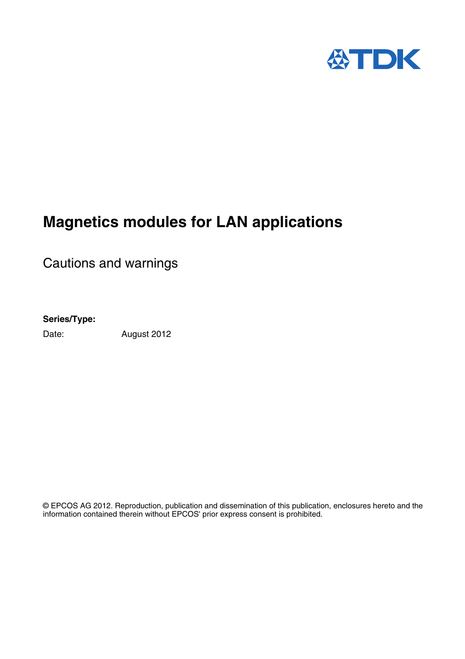

## **Magnetics modules for LAN applications**

Cautions and warnings

## **Series/Type:**

Date: August 2012

© EPCOS AG 2012. Reproduction, publication and dissemination of this publication, enclosures hereto and the information contained therein without EPCOS' prior express consent is prohibited.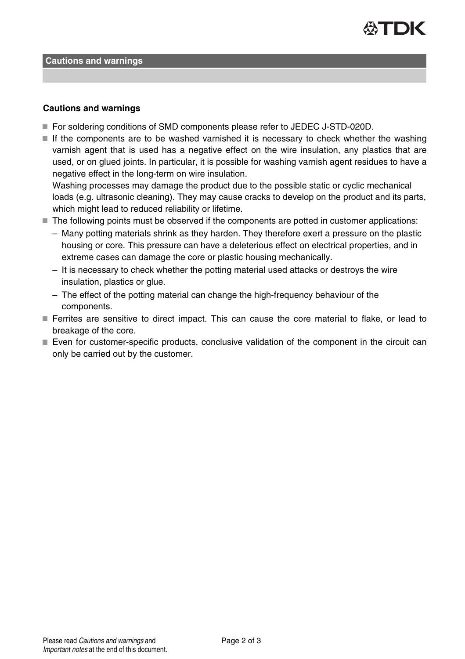

**Cautions and warnings**

## **Cautions and warnings**

- For soldering conditions of SMD components please refer to JEDEC J-STD-020D.
- $\blacksquare$  If the components are to be washed varnished it is necessary to check whether the washing varnish agent that is used has a negative effect on the wire insulation, any plastics that are used, or on glued joints. In particular, it is possible for washing varnish agent residues to have a negative effect in the long-term on wire insulation.

Washing processes may damage the product due to the possible static or cyclic mechanical loads (e.g. ultrasonic cleaning). They may cause cracks to develop on the product and its parts, which might lead to reduced reliability or lifetime.

- The following points must be observed if the components are potted in customer applications:
	- Many potting materials shrink as they harden. They therefore exert a pressure on the plastic housing or core. This pressure can have a deleterious effect on electrical properties, and in extreme cases can damage the core or plastic housing mechanically.
	- It is necessary to check whether the potting material used attacks or destroys the wire insulation, plastics or glue.
	- The effect of the potting material can change the high-frequency behaviour of the components.
- Ferrites are sensitive to direct impact. This can cause the core material to flake, or lead to breakage of the core.
- Even for customer-specific products, conclusive validation of the component in the circuit can only be carried out by the customer.